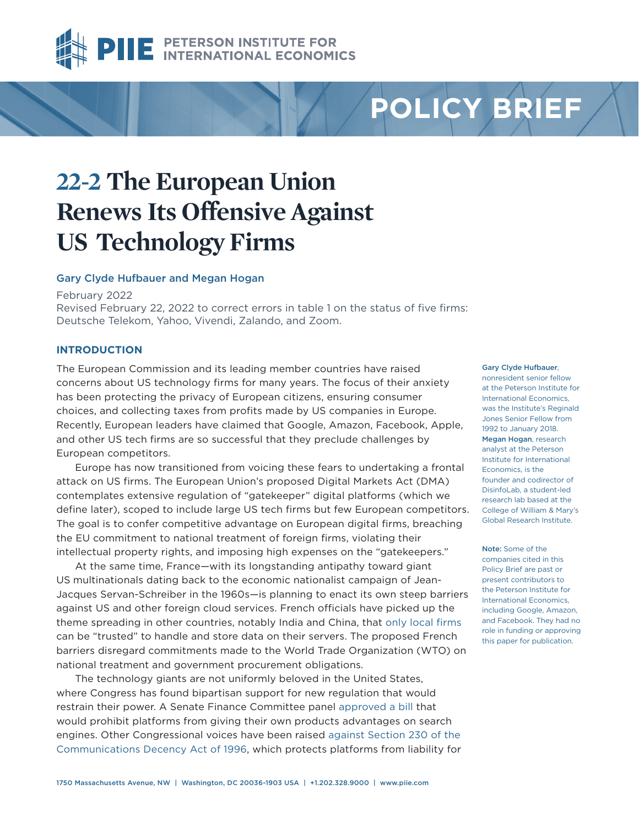

# **POLICY BRIEF**

## **22-2 The European Union Renews Its Offensive Against US Technology Firms**

#### Gary Clyde Hufbauer and Megan Hogan

February 2022

Revised February 22, 2022 to correct errors in table 1 on the status of five firms: Deutsche Telekom, Yahoo, Vivendi, Zalando, and Zoom.

### **INTRODUCTION**

The European Commission and its leading member countries have raised concerns about US technology firms for many years. The focus of their anxiety has been protecting the privacy of European citizens, ensuring consumer choices, and collecting taxes from profits made by US companies in Europe. Recently, European leaders have claimed that Google, Amazon, Facebook, Apple, and other US tech firms are so successful that they preclude challenges by European competitors.

Europe has now transitioned from voicing these fears to undertaking a frontal attack on US firms. The European Union's proposed Digital Markets Act (DMA) contemplates extensive regulation of "gatekeeper" digital platforms (which we define later), scoped to include large US tech firms but few European competitors. The goal is to confer competitive advantage on European digital firms, breaching the EU commitment to national treatment of foreign firms, violating their intellectual property rights, and imposing high expenses on the "gatekeepers."

At the same time, France—with its longstanding antipathy toward giant US multinationals dating back to the economic nationalist campaign of Jean-Jacques Servan-Schreiber in the 1960s—is planning to enact its own steep barriers against US and other foreign cloud services. French officials have picked up the theme spreading in other countries, notably India and China, that [only local firms](https://www.crossborderdataforum.org/sovereignty-requirements-in-france-and-potentially-eu-cybersecurity-regulations-the-latest-barrier-to-data-flows-digital-trade-and-digital-cooperation-among-likemi/?cn-reloaded=1) can be "trusted" to handle and store data on their servers. The proposed French barriers disregard commitments made to the World Trade Organization (WTO) on national treatment and government procurement obligations.

The technology giants are not uniformly beloved in the United States, where Congress has found bipartisan support for new regulation that would restrain their power. A Senate Finance Committee panel [approved a bill](https://www.wsj.com/articles/senate-panel-approves-antitrust-bill-restricting-big-tech-platforms-11642701487?st=df704uu5xe5l0ka&reflink=article_email_share) that would prohibit platforms from giving their own products advantages on search engines. Other Congressional voices have been raised [against Section 230 of the](https://www.eff.org/issues/cda230)  [Communications Decency Act of 1996,](https://www.eff.org/issues/cda230) which protects platforms from liability for

#### [Gary Clyde Hufbauer](https://www.piie.com/experts/senior-research-staff/gary-clyde-hufbauer),

nonresident senior fellow at the Peterson Institute for International Economics, was the Institute's Reginald Jones Senior Fellow from 1992 to January 2018. [Megan Hogan](https://www.piie.com/experts/research-analysts/megan-hogan), research analyst at the Peterson Institute for International Economics, is the founder and codirector of DisinfoLab, a student-led research lab based at the College of William & Mary's Global Research Institute.

Note: Some of the companies cited in this Policy Brief are past or present contributors to the Peterson Institute for International Economics, including Google, Amazon, and Facebook. They had no role in funding or approving this paper for publication.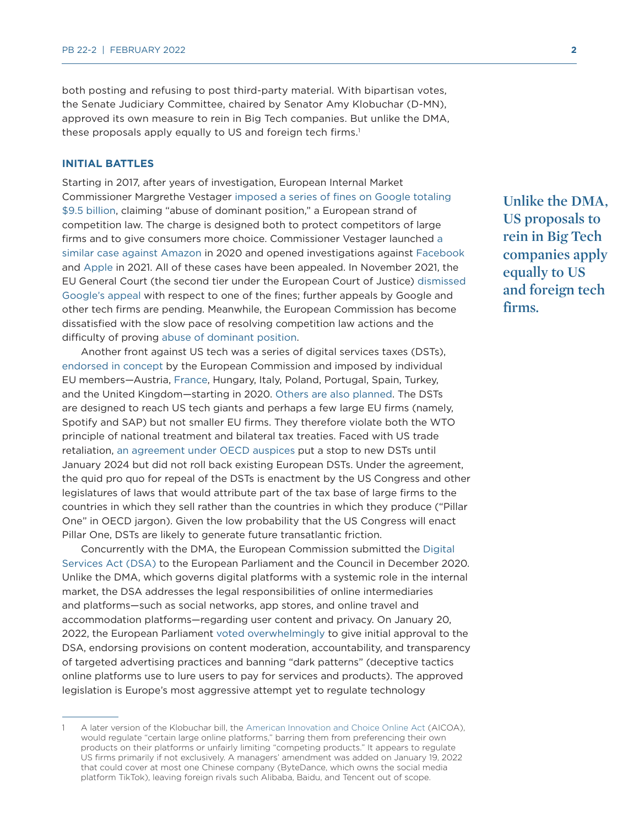both posting and refusing to post third-party material. With bipartisan votes, the Senate Judiciary Committee, chaired by Senator Amy Klobuchar (D-MN), approved its own measure to rein in Big Tech companies. But unlike the DMA, these proposals apply equally to US and foreign tech firms.<sup>1</sup>

#### **INITIAL BATTLES**

Starting in 2017, after years of investigation, European Internal Market Commissioner Margrethe Vestager [imposed a series of fines on Google totaling](https://www.cnbc.com/2019/06/07/how-google-facebook-amazon-and-apple-faced-eu-tech-antitrust-rules.html)  [\\$9.5 billion,](https://www.cnbc.com/2019/06/07/how-google-facebook-amazon-and-apple-faced-eu-tech-antitrust-rules.html) claiming "abuse of dominant position," a European strand of competition law. The charge is designed both to protect competitors of large firms and to give consumers more choice. Commissioner Vestager launched [a](https://www.jdsupra.com/legalnews/eu-unveils-antitrust-charges-against-1928513/)  [similar case against Amazon](https://www.jdsupra.com/legalnews/eu-unveils-antitrust-charges-against-1928513/) in 2020 and opened investigations against [Facebook](https://ec.europa.eu/commission/presscorner/detail/en/IP_21_2848) and [Apple](https://ec.europa.eu/commission/presscorner/detail/en/ip_21_2061) in 2021. All of these cases have been appealed. In November 2021, the EU General Court (the second tier under the European Court of Justice) [dismissed](https://www.lexology.com/library/detail.aspx?g=bd4bbbaf-3fd3-4c58-b588-1d19760b28a2)  [Google's appeal](https://www.lexology.com/library/detail.aspx?g=bd4bbbaf-3fd3-4c58-b588-1d19760b28a2) with respect to one of the fines; further appeals by Google and other tech firms are pending. Meanwhile, the European Commission has become dissatisfied with the slow pace of resolving competition law actions and the difficulty of proving [abuse of dominant position](https://op.europa.eu/en/publication-detail/-/publication/0a9a636a-3e83-11eb-b27b-01aa75ed71a1/language-en).

Another front against US tech was a series of digital services taxes (DSTs), [endorsed in concept](https://www.piie.com/system/files/documents/pb18-15.pdf) by the European Commission and imposed by individual EU members—Austria, [France,](https://ustr.gov/sites/default/files/Report_On_France%27s_Digital_Services_Tax.pdf) Hungary, Italy, Poland, Portugal, Spain, Turkey, and the United Kingdom—starting in 2020. [Others are also planned](https://taxfoundation.org/digital-tax-europe-2020/). The DSTs are designed to reach US tech giants and perhaps a few large EU firms (namely, Spotify and SAP) but not smaller EU firms. They therefore violate both the WTO principle of national treatment and bilateral tax treaties. Faced with US trade retaliation, [an agreement under OECD auspices](https://www.oecd.org/tax/beps/statement-on-a-two-pillar-solution-to-address-the-tax-challenges-arising-from-the-digitalisation-of-the-economy-october-2021.pdf) put a stop to new DSTs until January 2024 but did not roll back existing European DSTs. Under the agreement, the quid pro quo for repeal of the DSTs is enactment by the US Congress and other legislatures of laws that would attribute part of the tax base of large firms to the countries in which they sell rather than the countries in which they produce ("Pillar One" in OECD jargon). Given the low probability that the US Congress will enact Pillar One, DSTs are likely to generate future transatlantic friction.

Concurrently with the DMA, the European Commission submitted the [Digital](https://www.eff.org/issues/eu-policy-principles)  [Services Act \(DSA\)](https://www.eff.org/issues/eu-policy-principles) to the European Parliament and the Council in December 2020. Unlike the DMA, which governs digital platforms with a systemic role in the internal market, the DSA addresses the legal responsibilities of online intermediaries and platforms—such as social networks, app stores, and online travel and accommodation platforms—regarding user content and privacy. On January 20, 2022, the European Parliament [voted overwhelmingly](https://www.washingtonpost.com/world/2022/01/20/european-union-digital-services-act/) to give initial approval to the DSA, endorsing provisions on content moderation, accountability, and transparency of targeted advertising practices and banning "dark patterns" (deceptive tactics online platforms use to lure users to pay for services and products). The approved legislation is Europe's most aggressive attempt yet to regulate technology

**Unlike the DMA, US proposals to rein in Big Tech companies apply equally to US and foreign tech firms.**

<sup>1</sup> A later version of the Klobuchar bill, the [American Innovation and Choice Online Act](https://www.congress.gov/bill/117th-congress/senate-bill/2992) (AICOA), would regulate "certain large online platforms," barring them from preferencing their own products on their platforms or unfairly limiting "competing products." It appears to regulate US firms primarily if not exclusively. A managers' amendment was added on January 19, 2022 that could cover at most one Chinese company (ByteDance, which owns the social media platform TikTok), leaving foreign rivals such Alibaba, Baidu, and Tencent out of scope.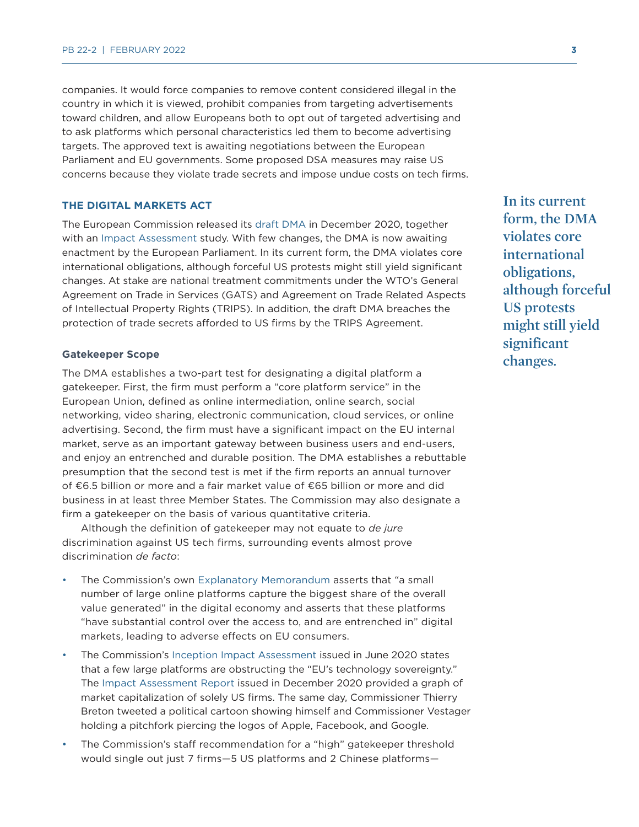companies. It would force companies to remove content considered illegal in the country in which it is viewed, prohibit companies from targeting advertisements toward children, and allow Europeans both to opt out of targeted advertising and to ask platforms which personal characteristics led them to become advertising targets. The approved text is awaiting negotiations between the European Parliament and EU governments. Some proposed DSA measures may raise US concerns because they violate trade secrets and impose undue costs on tech firms.

#### **THE DIGITAL MARKETS ACT**

The European Commission released its [draft DMA](https://eur-lex.europa.eu/legal-content/en/TXT/?qid=1608116887159&uri=COM%3A2020%3A842%3AFIN) in December 2020, together with an [Impact Assessment](https://op.europa.eu/en/publication-detail/-/publication/0a9a636a-3e83-11eb-b27b-01aa75ed71a1/language-en) study. With few changes, the DMA is now awaiting enactment by the European Parliament. In its current form, the DMA violates core international obligations, although forceful US protests might still yield significant changes. At stake are national treatment commitments under the WTO's General Agreement on Trade in Services (GATS) and Agreement on Trade Related Aspects of Intellectual Property Rights (TRIPS). In addition, the draft DMA breaches the protection of trade secrets afforded to US firms by the TRIPS Agreement.

#### **Gatekeeper Scope**

The DMA establishes a two-part test for designating a digital platform a gatekeeper. First, the firm must perform a "core platform service" in the European Union, defined as online intermediation, online search, social networking, video sharing, electronic communication, cloud services, or online advertising. Second, the firm must have a significant impact on the EU internal market, serve as an important gateway between business users and end-users, and enjoy an entrenched and durable position. The DMA establishes a rebuttable presumption that the second test is met if the firm reports an annual turnover of €6.5 billion or more and a fair market value of €65 billion or more and did business in at least three Member States. The Commission may also designate a firm a gatekeeper on the basis of various quantitative criteria.

Although the definition of gatekeeper may not equate to *de jure* discrimination against US tech firms, surrounding events almost prove discrimination *de facto*:

- The Commission's own [Explanatory Memorandum](https://eur-lex.europa.eu/legal-content/EN/TXT/HTML/?uri=CELEX:52020PC0842&rid=8) asserts that "a small number of large online platforms capture the biggest share of the overall value generated" in the digital economy and asserts that these platforms "have substantial control over the access to, and are entrenched in" digital markets, leading to adverse effects on EU consumers.
- The Commission's [Inception Impact Assessment](https://ec.europa.eu/competition-policy/public-consultations/2020-new-comp-tool_en) issued in June 2020 states that a few large platforms are obstructing the "EU's technology sovereignty." The [Impact Assessment Report](https://op.europa.eu/en/publication-detail/-/publication/0a9a636a-3e83-11eb-b27b-01aa75ed71a1/language-en) issued in December 2020 provided a graph of market capitalization of solely US firms. The same day, Commissioner Thierry Breton tweeted a political cartoon showing himself and Commissioner Vestager holding a pitchfork piercing the logos of Apple, Facebook, and Google.
- The Commission's staff recommendation for a "high" gatekeeper threshold would single out just 7 firms—5 US platforms and 2 Chinese platforms—

**In its current form, the DMA violates core international obligations, although forceful US protests might still yield significant changes.**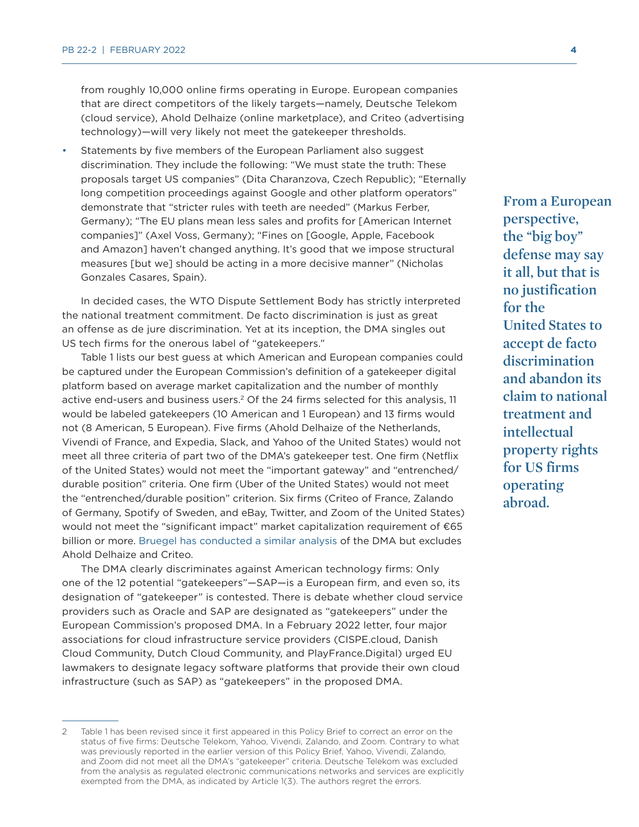from roughly 10,000 online firms operating in Europe. European companies that are direct competitors of the likely targets—namely, Deutsche Telekom (cloud service), Ahold Delhaize (online marketplace), and Criteo (advertising technology)—will very likely not meet the gatekeeper thresholds.

• Statements by five members of the European Parliament also suggest discrimination. They include the following: "We must state the truth: These proposals target US companies" (Dita Charanzova, Czech Republic); "Eternally long competition proceedings against Google and other platform operators" demonstrate that "stricter rules with teeth are needed" (Markus Ferber, Germany); "The EU plans mean less sales and profits for [American Internet companies]" (Axel Voss, Germany); "Fines on [Google, Apple, Facebook and Amazon] haven't changed anything. It's good that we impose structural measures [but we] should be acting in a more decisive manner" (Nicholas Gonzales Casares, Spain).

In decided cases, the WTO Dispute Settlement Body has strictly interpreted the national treatment commitment. De facto discrimination is just as great an offense as de jure discrimination. Yet at its inception, the DMA singles out US tech firms for the onerous label of "gatekeepers."

Table 1 lists our best guess at which American and European companies could be captured under the European Commission's definition of a gatekeeper digital platform based on average market capitalization and the number of monthly active end-users and business users.<sup>2</sup> Of the 24 firms selected for this analysis, 11 would be labeled gatekeepers (10 American and 1 European) and 13 firms would not (8 American, 5 European). Five firms (Ahold Delhaize of the Netherlands, Vivendi of France, and Expedia, Slack, and Yahoo of the United States) would not meet all three criteria of part two of the DMA's gatekeeper test. One firm (Netflix of the United States) would not meet the "important gateway" and "entrenched/ durable position" criteria. One firm (Uber of the United States) would not meet the "entrenched/durable position" criterion. Six firms (Criteo of France, Zalando of Germany, Spotify of Sweden, and eBay, Twitter, and Zoom of the United States) would not meet the "significant impact" market capitalization requirement of €65 billion or more. [Bruegel has conducted a similar analysis](https://www.bruegel.org/2021/12/which-platforms-will-be-caught-by-the-digital-markets-act-the-gatekeeper-dilemma/#_ftnref2) of the DMA but excludes Ahold Delhaize and Criteo.

The DMA clearly discriminates against American technology firms: Only one of the 12 potential "gatekeepers"—SAP—is a European firm, and even so, its designation of "gatekeeper" is contested. There is debate whether cloud service providers such as Oracle and SAP are designated as "gatekeepers" under the European Commission's proposed DMA. In a February 2022 letter, four major associations for cloud infrastructure service providers (CISPE.cloud, Danish Cloud Community, Dutch Cloud Community, and PlayFrance.Digital) urged EU lawmakers to designate legacy software platforms that provide their own cloud infrastructure (such as SAP) as "gatekeepers" in the proposed DMA.

**From a European perspective, the "big boy" defense may say it all, but that is no justification for the United States to accept de facto discrimination and abandon its claim to national treatment and intellectual property rights for US firms operating abroad.**

<sup>2</sup> Table 1 has been revised since it first appeared in this Policy Brief to correct an error on the status of five firms: Deutsche Telekom, Yahoo, Vivendi, Zalando, and Zoom. Contrary to what was previously reported in the earlier version of this Policy Brief, Yahoo, Vivendi, Zalando, and Zoom did not meet all the DMA's "gatekeeper" criteria. Deutsche Telekom was excluded from the analysis as regulated electronic communications networks and services are explicitly exempted from the DMA, as indicated by Article 1(3). The authors regret the errors.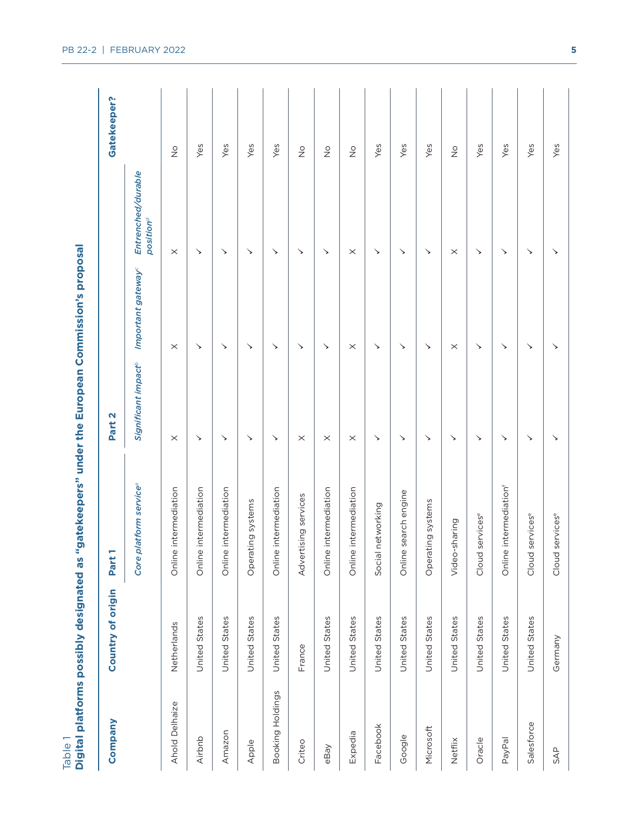| <br> <br> |  |
|-----------|--|

|                  | Digital platforms possibly designated as | "gatekeepers" under the European Commission's proposal |                                 |                                |                                             |                   |
|------------------|------------------------------------------|--------------------------------------------------------|---------------------------------|--------------------------------|---------------------------------------------|-------------------|
| Company          | Country of origin                        | Part                                                   | Part <sub>2</sub>               |                                |                                             | Gatekeeper?       |
|                  |                                          | Core platform service <sup>®</sup>                     | Significant impact <sup>®</sup> | Important gateway <sup>c</sup> | Entrenched/durable<br>position <sup>d</sup> |                   |
| Ahold Delhaize   | Netherlands                              | Online intermediation                                  | $\times$                        | $\times$                       | $\times$                                    | $\frac{\circ}{Z}$ |
| Airbnb           | United States                            | Online intermediation                                  | ↘                               | ↘                              | ↘                                           | Yes               |
| Amazon           | United States                            | Online intermediation                                  | ↘                               | ↘                              | ↘                                           | Yes               |
| Apple            | United States                            | Operating systems                                      | ↘                               | ↘                              | ↘                                           | Yes               |
| Booking Holdings | United States                            | Online intermediation                                  | ↘                               | ↘                              | ↘                                           | Yes               |
| Criteo           | France                                   | Advertising services                                   | $\times$                        | ↘                              | ↘                                           | $\frac{0}{2}$     |
| eBay             | United States                            | Online intermediation                                  | $\times$                        | ↘                              | ↘                                           | $\frac{\circ}{Z}$ |
| Expedia          | United States                            | Online intermediation                                  | $\times$                        | $\times$                       | $\times$                                    | $\frac{\circ}{Z}$ |
| Facebook         | United States                            | networking<br>Social                                   | ↘                               | ↘                              | ↘                                           | Yes               |
| Google           | United States                            | search engine<br>Online                                | ↘                               | ↘                              | ↘                                           | Yes               |
| Microsoft        | United States                            | Operating systems                                      | ↘                               | ↘                              | ↘                                           | Yes               |
| Netflix          | United States                            | Video-sharing                                          | ↘                               | $\times$                       | $\times$                                    | $\frac{\circ}{2}$ |
| Oracle           | United States                            | servicese<br>Cloud                                     | ↘                               | ↘                              | ↘                                           | Yes               |
| PayPal           | United States                            | Online intermediation <sup>f</sup>                     | ↘                               | ↘                              | ↘                                           | Yes               |
| Salesforce       | United States                            | services <sup>e</sup><br>Cloud                         | ↘                               | ↘                              | ↘                                           | Yes               |
| SAP              | Germany                                  | services <sup>e</sup><br>Cloud                         | ↘                               | ↘                              | ↘                                           | Yes               |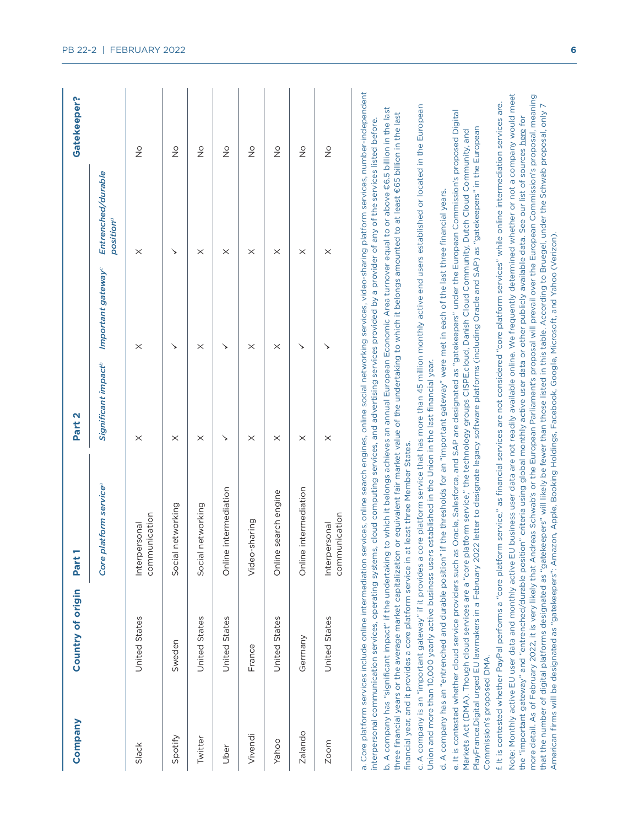| Company                    | Country of origin                                                                                                     | Part                                                                                                                                                                                                                                                                                                                                                                                                                                                                                                                                                                                                                                                                                                                                                                                                                                                                                                                                                                                                                                                                                                                                                                                                                                                                                                                                                                                                                                                                                                                                                                                                                                                                                                                                                                                                                                                                                                                                                                                                                                                                                                                                                                                                                                                                                                                                                                                                                                                                                                                                                                                                                                                                                                                                          | Part <sub>2</sub>               |                                |                                             | Gatekeeper?                |
|----------------------------|-----------------------------------------------------------------------------------------------------------------------|-----------------------------------------------------------------------------------------------------------------------------------------------------------------------------------------------------------------------------------------------------------------------------------------------------------------------------------------------------------------------------------------------------------------------------------------------------------------------------------------------------------------------------------------------------------------------------------------------------------------------------------------------------------------------------------------------------------------------------------------------------------------------------------------------------------------------------------------------------------------------------------------------------------------------------------------------------------------------------------------------------------------------------------------------------------------------------------------------------------------------------------------------------------------------------------------------------------------------------------------------------------------------------------------------------------------------------------------------------------------------------------------------------------------------------------------------------------------------------------------------------------------------------------------------------------------------------------------------------------------------------------------------------------------------------------------------------------------------------------------------------------------------------------------------------------------------------------------------------------------------------------------------------------------------------------------------------------------------------------------------------------------------------------------------------------------------------------------------------------------------------------------------------------------------------------------------------------------------------------------------------------------------------------------------------------------------------------------------------------------------------------------------------------------------------------------------------------------------------------------------------------------------------------------------------------------------------------------------------------------------------------------------------------------------------------------------------------------------------------------------|---------------------------------|--------------------------------|---------------------------------------------|----------------------------|
|                            |                                                                                                                       | platform service <sup>ª</sup><br>Core                                                                                                                                                                                                                                                                                                                                                                                                                                                                                                                                                                                                                                                                                                                                                                                                                                                                                                                                                                                                                                                                                                                                                                                                                                                                                                                                                                                                                                                                                                                                                                                                                                                                                                                                                                                                                                                                                                                                                                                                                                                                                                                                                                                                                                                                                                                                                                                                                                                                                                                                                                                                                                                                                                         | Significant impact <sup>6</sup> | Important gateway <sup>c</sup> | Entrenched/durable<br>position <sup>d</sup> |                            |
| Slack                      | United States                                                                                                         | communication<br>Interpersonal                                                                                                                                                                                                                                                                                                                                                                                                                                                                                                                                                                                                                                                                                                                                                                                                                                                                                                                                                                                                                                                                                                                                                                                                                                                                                                                                                                                                                                                                                                                                                                                                                                                                                                                                                                                                                                                                                                                                                                                                                                                                                                                                                                                                                                                                                                                                                                                                                                                                                                                                                                                                                                                                                                                | $\times$                        | $\times$                       | $\times$                                    | $\frac{0}{2}$              |
| Spotify                    | Sweden                                                                                                                | Social networking                                                                                                                                                                                                                                                                                                                                                                                                                                                                                                                                                                                                                                                                                                                                                                                                                                                                                                                                                                                                                                                                                                                                                                                                                                                                                                                                                                                                                                                                                                                                                                                                                                                                                                                                                                                                                                                                                                                                                                                                                                                                                                                                                                                                                                                                                                                                                                                                                                                                                                                                                                                                                                                                                                                             | $\times$                        | ↘                              | ↘                                           | $\stackrel{\circ}{\simeq}$ |
| Twitter                    | United States                                                                                                         | Social networking                                                                                                                                                                                                                                                                                                                                                                                                                                                                                                                                                                                                                                                                                                                                                                                                                                                                                                                                                                                                                                                                                                                                                                                                                                                                                                                                                                                                                                                                                                                                                                                                                                                                                                                                                                                                                                                                                                                                                                                                                                                                                                                                                                                                                                                                                                                                                                                                                                                                                                                                                                                                                                                                                                                             | $\times$                        | $\times$                       | $\times$                                    | $\frac{0}{2}$              |
| Uber                       | United States                                                                                                         | e intermediation<br>Onlin                                                                                                                                                                                                                                                                                                                                                                                                                                                                                                                                                                                                                                                                                                                                                                                                                                                                                                                                                                                                                                                                                                                                                                                                                                                                                                                                                                                                                                                                                                                                                                                                                                                                                                                                                                                                                                                                                                                                                                                                                                                                                                                                                                                                                                                                                                                                                                                                                                                                                                                                                                                                                                                                                                                     | ↘                               | ↘                              | $\times$                                    | $\stackrel{\circ}{\simeq}$ |
| Vivendi                    | France                                                                                                                | Video-sharing                                                                                                                                                                                                                                                                                                                                                                                                                                                                                                                                                                                                                                                                                                                                                                                                                                                                                                                                                                                                                                                                                                                                                                                                                                                                                                                                                                                                                                                                                                                                                                                                                                                                                                                                                                                                                                                                                                                                                                                                                                                                                                                                                                                                                                                                                                                                                                                                                                                                                                                                                                                                                                                                                                                                 | $\times$                        | $\times$                       | $\times$                                    | $\stackrel{\circ}{\simeq}$ |
| Yahoo                      | United States                                                                                                         | search engine<br>$\mathbb O$<br>Onlin                                                                                                                                                                                                                                                                                                                                                                                                                                                                                                                                                                                                                                                                                                                                                                                                                                                                                                                                                                                                                                                                                                                                                                                                                                                                                                                                                                                                                                                                                                                                                                                                                                                                                                                                                                                                                                                                                                                                                                                                                                                                                                                                                                                                                                                                                                                                                                                                                                                                                                                                                                                                                                                                                                         | $\times$                        | $\times$                       | $\times$                                    | $\overset{\circ}{\simeq}$  |
| <b>Zalando</b>             | Germany                                                                                                               | e intermediation<br>Onlin                                                                                                                                                                                                                                                                                                                                                                                                                                                                                                                                                                                                                                                                                                                                                                                                                                                                                                                                                                                                                                                                                                                                                                                                                                                                                                                                                                                                                                                                                                                                                                                                                                                                                                                                                                                                                                                                                                                                                                                                                                                                                                                                                                                                                                                                                                                                                                                                                                                                                                                                                                                                                                                                                                                     | $\times$                        | ↘                              | $\times$                                    | $\frac{\circ}{\mathsf{Z}}$ |
| Zoom                       | United States                                                                                                         | communication<br>Interpersonal                                                                                                                                                                                                                                                                                                                                                                                                                                                                                                                                                                                                                                                                                                                                                                                                                                                                                                                                                                                                                                                                                                                                                                                                                                                                                                                                                                                                                                                                                                                                                                                                                                                                                                                                                                                                                                                                                                                                                                                                                                                                                                                                                                                                                                                                                                                                                                                                                                                                                                                                                                                                                                                                                                                | $\times$                        |                                | $\times$                                    | $\frac{0}{2}$              |
| Commission's proposed DMA. | financial year, and it provides a core platform service in<br>c. A company is an "important gateway" if it provides a | a. Core platform services include online intermediation services, online search engines, online social networking services, video-sharing platform services, number-independent<br>Note: Monthly active EU user data and monthly active EU business user data are not readily available online. We frequently determined whether or not a company would meet<br>more detail. As of February 2022, it is very likely that Andreas Schwab's or the European Parliament's proposal will prevail over the European Commission's proposal, meaning<br>f. It is contested whether PayPal performs a "core platform service," as financial services are not considered "core platform services" while online intermediation services are.<br>that the number of digital platforms designated as "gatekeepers" will likely be fewer than those listed in this table. According to Bruegel, under the Schwab proposal, only 7<br>core platform service that has more than 45 million monthly active end users established or located in the European<br>b. A company has "significant impact" if the undertaking to which it belongs achieves an annual European Economic Area turnover equal to or above €6.5 billion in the last<br>e. It is contested whether cloud service providers such as Oracle, Salesforce, and SAP are designated as "gatekeepers" under the European Commission's proposed Digital<br>three financial years or the average market capitalization or equivalent fair market value of the undertaking to which it belongs amounted to at least €65 billion in the last<br>the "important gateway" and "entrenched/durable position" criteria using global monthly active user data or other publicly available data. See our list of sources here for<br>interpersonal communication services, operating systems, cloud computing services, and advertising services provided by a provider of any of the services listed before.<br>PlayFrance.Digital urged EU lawmakers in a February 2022 letter to designate legacy software platforms (including Oracle and SAP) as "gatekeepers" in the European<br>Markets Act (DMA). Though cloud services are a "core platform service," the technology groups CISPE.cloud, Danish Cloud Community, Dutch Cloud Community, and<br>d. A company has an "entrenched and durable position" if the thresholds for an "important gateway" were met in each of the last three financial years.<br>American firms will be designated as "gatekeepers": Amazon, Apple, Booking Holdings, Facebook, Google, Microsoft, and Yahoo (Verizon).<br>Union and more than 10,000 yearly active business users established in the Union in the last financial year.<br>at least three Member States. |                                 |                                |                                             |                            |

### **PB 22-2 | FEBRUARY 2022 6**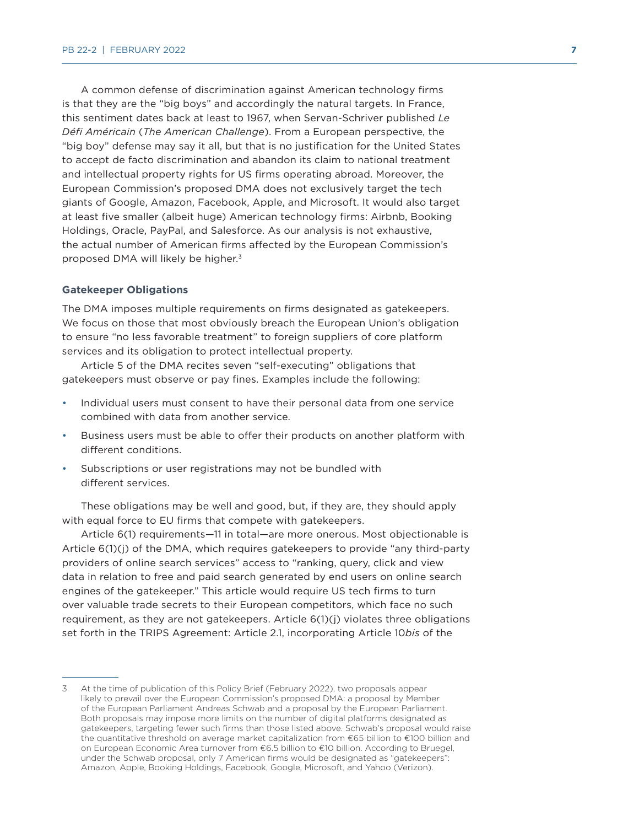A common defense of discrimination against American technology firms is that they are the "big boys" and accordingly the natural targets. In France, this sentiment dates back at least to 1967, when Servan-Schriver published *Le Défi Américain* (*The American Challenge*). From a European perspective, the "big boy" defense may say it all, but that is no justification for the United States to accept de facto discrimination and abandon its claim to national treatment and intellectual property rights for US firms operating abroad. Moreover, the European Commission's proposed DMA does not exclusively target the tech giants of Google, Amazon, Facebook, Apple, and Microsoft. It would also target at least five smaller (albeit huge) American technology firms: Airbnb, Booking Holdings, Oracle, PayPal, and Salesforce. As our analysis is not exhaustive, the actual number of American firms affected by the European Commission's proposed DMA will likely be higher.3

#### **Gatekeeper Obligations**

The DMA imposes multiple requirements on firms designated as gatekeepers. We focus on those that most obviously breach the European Union's obligation to ensure "no less favorable treatment" to foreign suppliers of core platform services and its obligation to protect intellectual property.

Article 5 of the DMA recites seven "self-executing" obligations that gatekeepers must observe or pay fines. Examples include the following:

- Individual users must consent to have their personal data from one service combined with data from another service.
- Business users must be able to offer their products on another platform with different conditions.
- Subscriptions or user registrations may not be bundled with different services.

These obligations may be well and good, but, if they are, they should apply with equal force to EU firms that compete with gatekeepers.

Article 6(1) requirements—11 in total—are more onerous. Most objectionable is Article 6(1)(j) of the DMA, which requires gatekeepers to provide "any third-party providers of online search services" access to "ranking, query, click and view data in relation to free and paid search generated by end users on online search engines of the gatekeeper." This article would require US tech firms to turn over valuable trade secrets to their European competitors, which face no such requirement, as they are not gatekeepers. Article 6(1)(j) violates three obligations set forth in the TRIPS Agreement: Article 2.1, incorporating Article 10*bis* of the

<sup>3</sup> At the time of publication of this Policy Brief (February 2022), two proposals appear likely to prevail over the European Commission's proposed DMA: a proposal by Member of the European Parliament Andreas Schwab and a proposal by the European Parliament. Both proposals may impose more limits on the number of digital platforms designated as gatekeepers, targeting fewer such firms than those listed above. Schwab's proposal would raise the quantitative threshold on average market capitalization from €65 billion to €100 billion and on European Economic Area turnover from €6.5 billion to €10 billion. According to Bruegel, under the Schwab proposal, only 7 American firms would be designated as "gatekeepers": Amazon, Apple, Booking Holdings, Facebook, Google, Microsoft, and Yahoo (Verizon).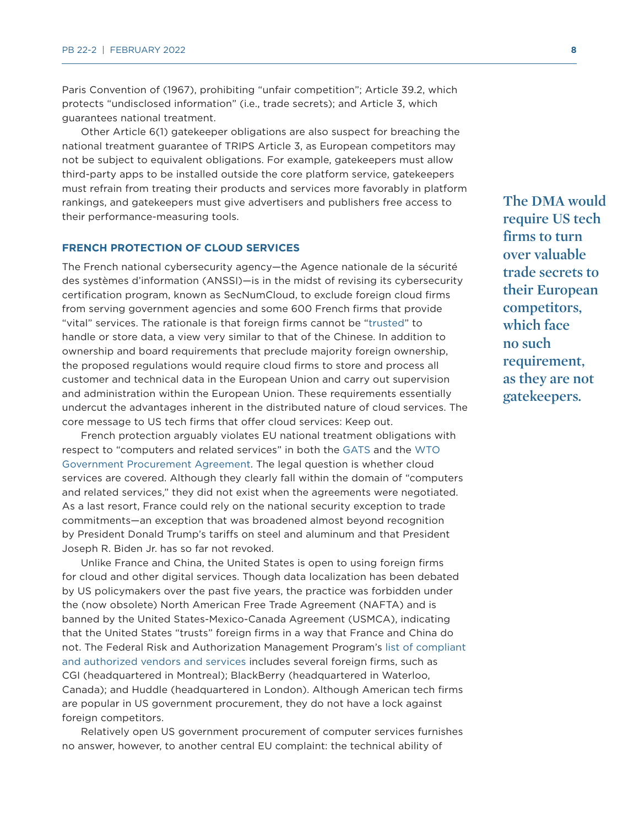Paris Convention of (1967), prohibiting "unfair competition"; Article 39.2, which protects "undisclosed information" (i.e., trade secrets); and Article 3, which guarantees national treatment.

Other Article 6(1) gatekeeper obligations are also suspect for breaching the national treatment guarantee of TRIPS Article 3, as European competitors may not be subject to equivalent obligations. For example, gatekeepers must allow third-party apps to be installed outside the core platform service, gatekeepers must refrain from treating their products and services more favorably in platform rankings, and gatekeepers must give advertisers and publishers free access to their performance-measuring tools.

#### **FRENCH PROTECTION OF CLOUD SERVICES**

The French national cybersecurity agency—the Agence nationale de la sécurité des systèmes d'information (ANSSI)—is in the midst of revising its cybersecurity certification program, known as SecNumCloud, to exclude foreign cloud firms from serving government agencies and some 600 French firms that provide "vital" services. The rationale is that foreign firms cannot be ["trusted"](https://www.crossborderdataforum.org/sovereignty-requirements-in-france-and-potentially-eu-cybersecurity-regulations-the-latest-barrier-to-data-flows-digital-trade-and-digital-cooperation-among-likemi/?cn-reloaded=1) to handle or store data, a view very similar to that of the Chinese. In addition to ownership and board requirements that preclude majority foreign ownership, the proposed regulations would require cloud firms to store and process all customer and technical data in the European Union and carry out supervision and administration within the European Union. These requirements essentially undercut the advantages inherent in the distributed nature of cloud services. The core message to US tech firms that offer cloud services: Keep out.

French protection arguably violates EU national treatment obligations with respect to "computers and related services" in both the [GATS](https://docs.wto.org/dol2fe/Pages/SS/directdoc.aspx?filename=q:/SCHD/GATS-SC/SC157.pdf&Open=True) and the [WTO](https://e-gpa.wto.org/en/Annex/Details?Agreement=GPA113&Party=EuropeanUnion&AnnexNo=5&ContentCulture=en)  [Government Procurement Agreement](https://e-gpa.wto.org/en/Annex/Details?Agreement=GPA113&Party=EuropeanUnion&AnnexNo=5&ContentCulture=en). The legal question is whether cloud services are covered. Although they clearly fall within the domain of "computers and related services," they did not exist when the agreements were negotiated. As a last resort, France could rely on the national security exception to trade commitments—an exception that was broadened almost beyond recognition by President Donald Trump's tariffs on steel and aluminum and that President Joseph R. Biden Jr. has so far not revoked.

Unlike France and China, the United States is open to using foreign firms for cloud and other digital services. Though data localization has been debated by US policymakers over the past five years, the practice was forbidden under the (now obsolete) North American Free Trade Agreement (NAFTA) and is banned by the United States-Mexico-Canada Agreement (USMCA), indicating that the United States "trusts" foreign firms in a way that France and China do not. The Federal Risk and Authorization Management Program's [list of compliant](https://marketplace.fedramp.gov/#!/products?sort=productName&status=Compliant)  [and authorized vendors and services](https://marketplace.fedramp.gov/#!/products?sort=productName&status=Compliant) includes several foreign firms, such as CGI (headquartered in Montreal); BlackBerry (headquartered in Waterloo, Canada); and Huddle (headquartered in London). Although American tech firms are popular in US government procurement, they do not have a lock against foreign competitors.

Relatively open US government procurement of computer services furnishes no answer, however, to another central EU complaint: the technical ability of

**The DMA would require US tech firms to turn over valuable trade secrets to their European competitors, which face no such requirement, as they are not gatekeepers.**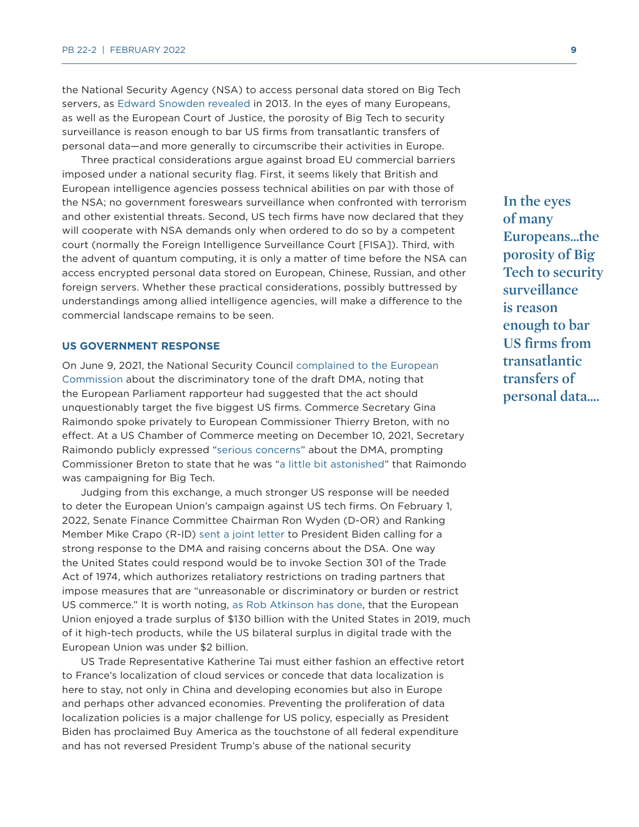the National Security Agency (NSA) to access personal data stored on Big Tech servers, as [Edward Snowden revealed](https://en.wikipedia.org/wiki/Global_surveillance_disclosures_(2013%E2%80%93present)) in 2013. In the eyes of many Europeans, as well as the European Court of Justice, the porosity of Big Tech to security surveillance is reason enough to bar US firms from transatlantic transfers of personal data—and more generally to circumscribe their activities in Europe.

Three practical considerations argue against broad EU commercial barriers imposed under a national security flag. First, it seems likely that British and European intelligence agencies possess technical abilities on par with those of the NSA; no government foreswears surveillance when confronted with terrorism and other existential threats. Second, US tech firms have now declared that they will cooperate with NSA demands only when ordered to do so by a competent court (normally the Foreign Intelligence Surveillance Court [FISA]). Third, with the advent of quantum computing, it is only a matter of time before the NSA can access encrypted personal data stored on European, Chinese, Russian, and other foreign servers. Whether these practical considerations, possibly buttressed by understandings among allied intelligence agencies, will make a difference to the commercial landscape remains to be seen.

#### **US GOVERNMENT RESPONSE**

On June 9, 2021, the National Security Council [complained to the European](https://www.ft.com/content/2036d7e9-daa2-445d-8f88-6fcee745a259)  [Commission](https://www.ft.com/content/2036d7e9-daa2-445d-8f88-6fcee745a259) about the discriminatory tone of the draft DMA, noting that the European Parliament rapporteur had suggested that the act should unquestionably target the five biggest US firms. Commerce Secretary Gina Raimondo spoke privately to European Commissioner Thierry Breton, with no effect. At a US Chamber of Commerce meeting on December 10, 2021, Secretary Raimondo publicly expressed "[serious concerns](https://iapp.org/news/a/commerce-secretary-us-has-serious-concerns-over-eu-digital-proposals/)" about the DMA, prompting Commissioner Breton to state that he was ["a little bit astonished"](https://www.ft.com/content/d80c0c3a-460b-47b9-bab3-dfb114a40dd1) that Raimondo was campaigning for Big Tech.

Judging from this exchange, a much stronger US response will be needed to deter the European Union's campaign against US tech firms. On February 1, 2022, Senate Finance Committee Chairman Ron Wyden (D-OR) and Ranking Member Mike Crapo (R-ID) [sent a joint letter](https://insidetrade.com/daily-news/wyden-crapo-ask-biden-take-eu-task-over-digital-policies?destination=node/173231) to President Biden calling for a strong response to the DMA and raising concerns about the DSA. One way the United States could respond would be to invoke Section 301 of the Trade Act of 1974, which authorizes retaliatory restrictions on trading partners that impose measures that are "unreasonable or discriminatory or burden or restrict US commerce." It is worth noting, [as Rob Atkinson has done](https://itif.org/publications/2020/12/04/eu-hypocrisy-digital-trade), that the European Union enjoyed a trade surplus of \$130 billion with the United States in 2019, much of it high-tech products, while the US bilateral surplus in digital trade with the European Union was under \$2 billion.

US Trade Representative Katherine Tai must either fashion an effective retort to France's localization of cloud services or concede that data localization is here to stay, not only in China and developing economies but also in Europe and perhaps other advanced economies. Preventing the proliferation of data localization policies is a major challenge for US policy, especially as President Biden has proclaimed Buy America as the touchstone of all federal expenditure and has not reversed President Trump's abuse of the national security

**In the eyes of many Europeans...the porosity of Big Tech to security surveillance is reason enough to bar US firms from transatlantic transfers of personal data....**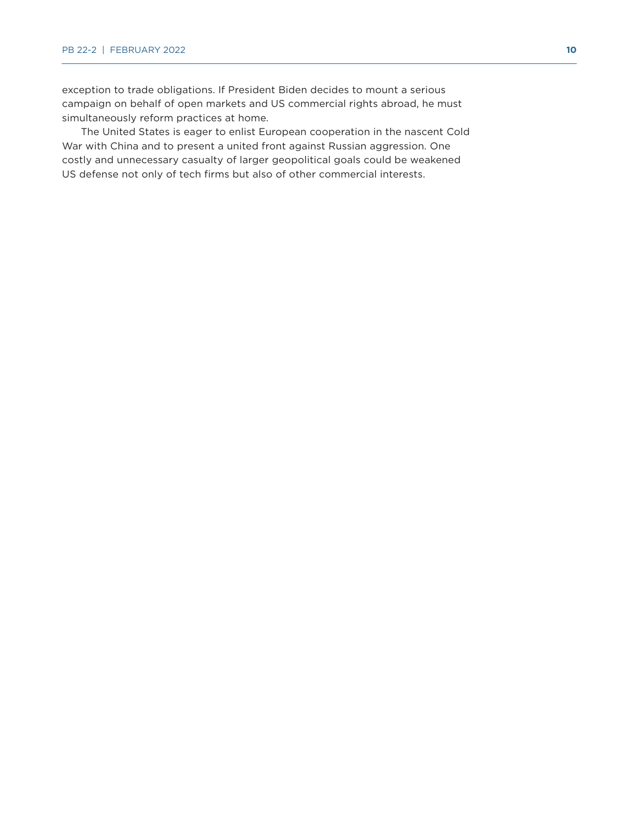exception to trade obligations. If President Biden decides to mount a serious campaign on behalf of open markets and US commercial rights abroad, he must simultaneously reform practices at home.

The United States is eager to enlist European cooperation in the nascent Cold War with China and to present a united front against Russian aggression. One costly and unnecessary casualty of larger geopolitical goals could be weakened US defense not only of tech firms but also of other commercial interests.